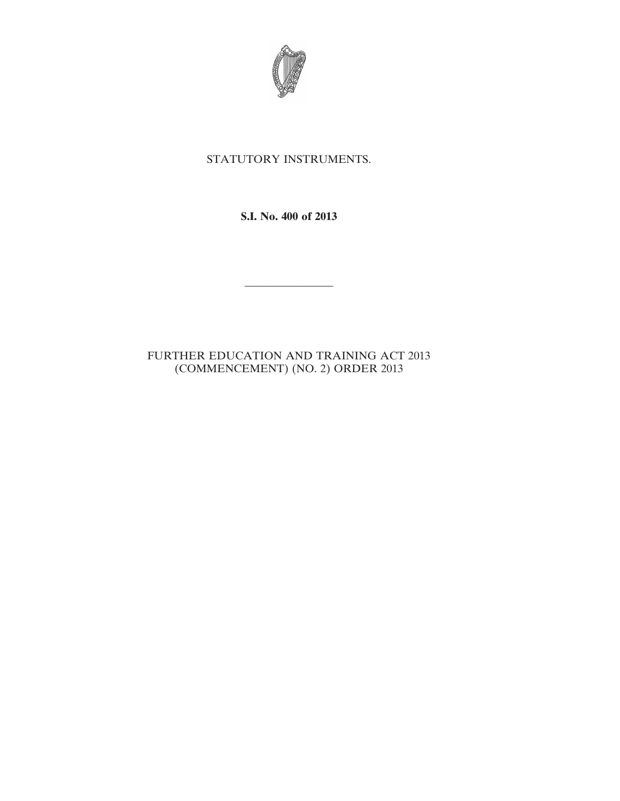

## STATUTORY INSTRUMENTS.

**S.I. No. 400 of 2013**

————————

FURTHER EDUCATION AND TRAINING ACT 2013 (COMMENCEMENT) (NO. 2) ORDER 2013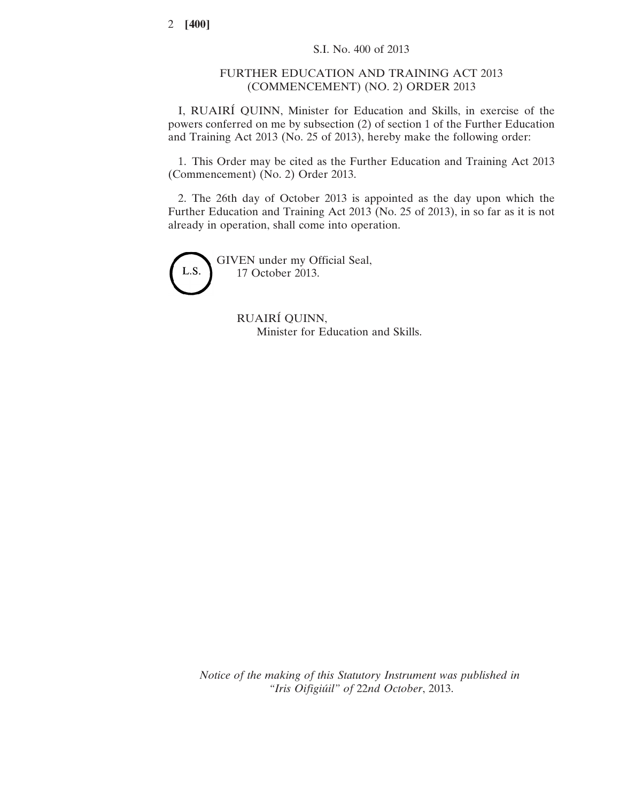## FURTHER EDUCATION AND TRAINING ACT 2013 (COMMENCEMENT) (NO. 2) ORDER 2013

I, RUAIRÍ QUINN, Minister for Education and Skills, in exercise of the powers conferred on me by subsection (2) of section 1 of the Further Education and Training Act 2013 (No. 25 of 2013), hereby make the following order:

1. This Order may be cited as the Further Education and Training Act 2013 (Commencement) (No. 2) Order 2013.

2. The 26th day of October 2013 is appointed as the day upon which the Further Education and Training Act 2013 (No. 25 of 2013), in so far as it is not already in operation, shall come into operation.

L.S.

GIVEN under my Official Seal, 17 October 2013.

> RUAIRÍ QUINN, Minister for Education and Skills.

*Notice of the making of this Statutory Instrument was published in "Iris Oifigiúil" of* 22*nd October*, 2013.